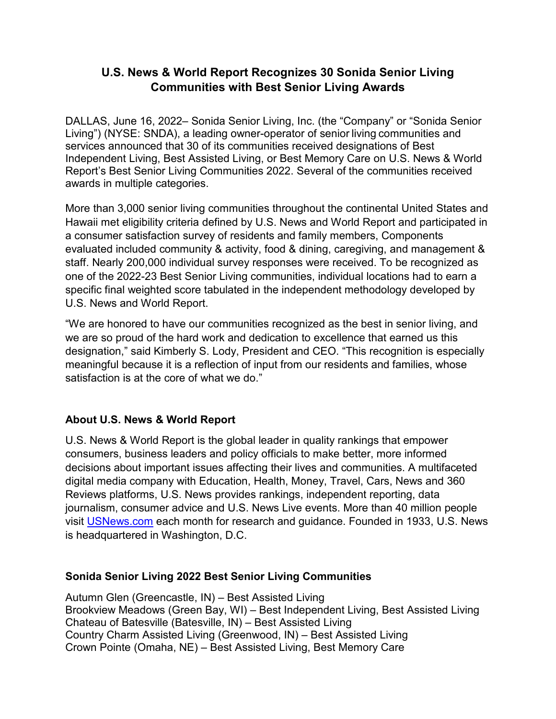## **U.S. News & World Report Recognizes 30 Sonida Senior Living Communities with Best Senior Living Awards**

DALLAS, June 16, 2022– Sonida Senior Living, Inc. (the "Company" or "Sonida Senior Living") (NYSE: SNDA), a leading owner-operator of senior living communities and services announced that 30 of its communities received designations of Best Independent Living, Best Assisted Living, or Best Memory Care on U.S. News & World Report's Best Senior Living Communities 2022. Several of the communities received awards in multiple categories.

More than 3,000 senior living communities throughout the continental United States and Hawaii met eligibility criteria defined by U.S. News and World Report and participated in a consumer satisfaction survey of residents and family members, Components evaluated included community & activity, food & dining, caregiving, and management & staff. Nearly 200,000 individual survey responses were received. To be recognized as one of the 2022-23 Best Senior Living communities, individual locations had to earn a specific final weighted score tabulated in the independent methodology developed by U.S. News and World Report.

"We are honored to have our communities recognized as the best in senior living, and we are so proud of the hard work and dedication to excellence that earned us this designation," said Kimberly S. Lody, President and CEO. "This recognition is especially meaningful because it is a reflection of input from our residents and families, whose satisfaction is at the core of what we do."

## **About U.S. News & World Report**

U.S. News & World Report is the global leader in quality rankings that empower consumers, business leaders and policy officials to make better, more informed decisions about important issues affecting their lives and communities. A multifaceted digital media company with Education, Health, Money, Travel, Cars, News and 360 Reviews platforms, U.S. News provides rankings, independent reporting, data journalism, consumer advice and U.S. News Live events. More than 40 million people visit [USNews.com](https://c212.net/c/link/?t=0&l=en&o=3530819-1&h=2733087652&u=https%3A%2F%2Fwww.usnews.com%2F&a=USNews.com) each month for research and guidance. Founded in 1933, U.S. News is headquartered in Washington, D.C.

## **Sonida Senior Living 2022 Best Senior Living Communities**

Autumn Glen (Greencastle, IN) – Best Assisted Living Brookview Meadows (Green Bay, WI) – Best Independent Living, Best Assisted Living Chateau of Batesville (Batesville, IN) – Best Assisted Living Country Charm Assisted Living (Greenwood, IN) – Best Assisted Living Crown Pointe (Omaha, NE) – Best Assisted Living, Best Memory Care